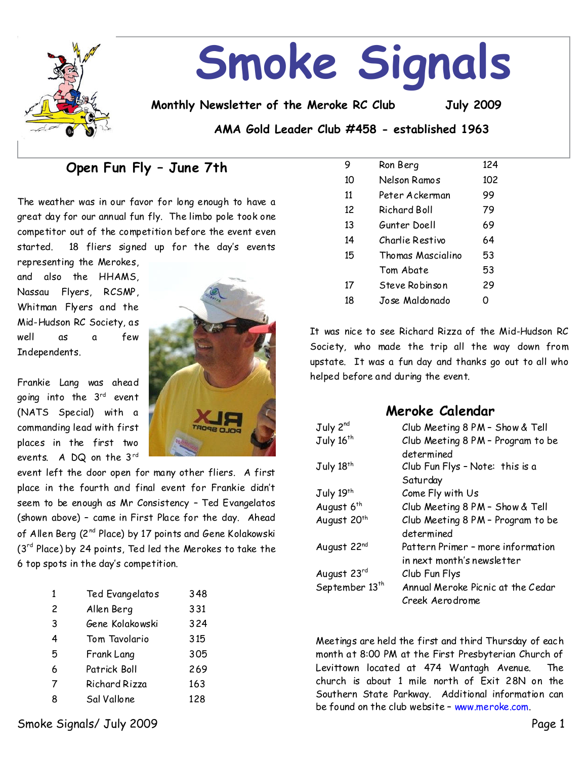

# **Smoke Signals**

**Monthly Newsletter of the Meroke RC Club July 2009**

**AMA Gold Leader Club #458 - established 1963**

# **Open Fun Fly–June7th**

The weather was in our favor for long enough to have a great day for our annual fun fly. The limbo pole took one competitor out of the competition before the event even started. 18 fliers signed up for the day's events

representing the Merokes, and also the HHAMS, Nassau Flyers, RCSMP, Whitman Flyers and the Mid-Hudson RC Society, as well as a few Independents.

Frankie Lang was ahead going into the 3rd event (NATS Special) with a commanding lead with first places in the first two events. A DQ on the 3rd



event left the door open for many other fliers. A first place in the fourth and final event for Frankie didn't seem to be enough as Mr Consistency - Ted Evangelatos (shown above) - came in First Place for the day. Ahead of Allen Berg ( $2^{nd}$  Place) by 17 points and Gene Kolakowski  $(3<sup>rd</sup> Place)$  by 24 points, Ted led the Merokes to take the 6 top spots in the day's competition.

| 1 | Ted Evangelatos | 348 |
|---|-----------------|-----|
| 2 | Allen Berg      | 331 |
| 3 | Gene Kolakowski | 324 |
| 4 | Tom Tavolario   | 315 |
| 5 | Frank Lang      | 305 |
| 6 | Patrick Boll    | 269 |
| 7 | Richard Rizza   | 163 |
| 8 | Sal Vallone     | 128 |
|   |                 |     |

| 9  | Ron Berg                | 124 |
|----|-------------------------|-----|
| 10 | Nelson Ramos            | 102 |
| 11 | Peter Ackerman          | 99  |
| 12 | Richard Boll            | 79  |
| 13 | Gunter Doell            | 69  |
| 14 | Charlie Restivo         | 64  |
| 15 | Thomas Mascialino       | 53  |
|    | Tom Abate               | 53  |
| 17 | Steve Robinson          | 29  |
| 18 | Jo <i>s</i> e Maldonado | n   |

It was nice to see Richard Rizza of the Mid-Hudson RC Society, who made the trip all the way down from upstate. It was a fun day and thanks go out to all who helped before and during the event.

## **Meroke Calendar**

| July 2 <sup>nd</sup>       | Club Meeting 8 PM - Show & Tell   |
|----------------------------|-----------------------------------|
| July 16 <sup>th</sup>      | Club Meeting 8 PM - Program to be |
|                            | determined                        |
| July 18th                  | Club Fun Flys - Note: this is a   |
|                            | Saturday                          |
| July 19th                  | Come Fly with Us                  |
| August 6 <sup>th</sup>     | Club Meeting 8 PM - Show & Tell   |
| August 20 <sup>th</sup>    | Club Meeting 8 PM - Program to be |
|                            | determined                        |
| August 22nd                | Pattern Primer - more information |
|                            | in next month's newsletter        |
| August 23rd                | Club Fun Flys                     |
| September 13 <sup>th</sup> | Annual Meroke Picnic at the Cedar |
|                            | Creek Aerodrome                   |

Meetings are held the first and third Thursday of each month at 8:00 PM at the First Presbyterian Church of Levittown located at 474 Wantagh Avenue. The church is about 1 mile north of Exit 28N on the Southern State Parkway. Additional information can be found on the club website - www.meroke.com.

Smoke Signals/ July 2009 Page 1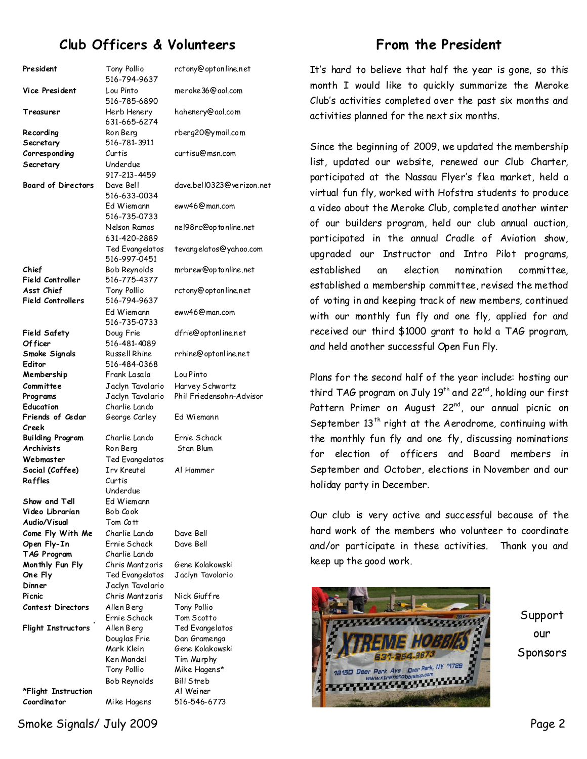# **Club Officers & Volunteers**

| President                              | Tony Pollro<br>516-794-9637     | rctony@optonline.net            |
|----------------------------------------|---------------------------------|---------------------------------|
| Vice President                         | Lou Pinto<br>516-785-6890       | meroke36@aol.com                |
| Treasurer                              | Herb Henery<br>631-665-6274     | hahenery@aol.com                |
| Recording                              | Ron Berg                        | rberg20@ymail.com               |
| Secretary                              | 516-781-3911                    |                                 |
| Corresponding                          | Curtis                          | curtisu@msn.com                 |
| Secretary                              | Underdue<br>917-213-4459        |                                 |
| <b>Board of Directors</b>              | Dave Bell<br>516-633-0034       | dave.bell0323@verizon.n         |
|                                        | Ed Wiemann<br>516-735-0733      | eww46@man.com                   |
|                                        | Nelson Ramos<br>631-420-2889    | nel98rc@optonline.net           |
|                                        | Ted Evangelatos<br>516-997-0451 | tevangelatos@yahoo.com          |
| Chief<br><b>Field Controller</b>       | Bob Reynolds<br>516-775-4377    | mrbrew@optonline.net            |
| Asst Chief<br><b>Field Controllers</b> | Tony Pollio<br>516-794-9637     | rctony@optonline.net            |
|                                        | Ed Wiemann<br>516-735-0733      | eww46@man.com                   |
| Field Safety<br>Of ficer               | Doug Frie<br>516-481-4089       | dfrie@optonline.net             |
| Smoke Signals                          | Russell Rhine                   | rrhine@optonline.net            |
| Editor                                 | 516-484-0368                    |                                 |
| Membership                             | Frank Lasala                    | Lou Pinto                       |
| Committee                              | Jaclyn Tavolario                | Harvey Schwartz                 |
| Programs                               | Jaclyn Tavolario                | Phil Friedensohn-Advisor        |
| Education                              | Charlie Lando                   |                                 |
| Friends of Cedar<br>Creek              | George Carley                   | Ed Wiemann                      |
| <b>Building Program</b>                | Charlie Lando                   | Ernie Schack                    |
| <b>Archivists</b>                      | Ron Berg                        | Stan Blum                       |
| Webmaster                              | Ted Evangelatos                 |                                 |
| Social (Coffee)                        | <b>Irv Kreutel</b>              | Al Hammer                       |
| Raffles                                | Curtis                          |                                 |
|                                        | Underdue                        |                                 |
| Show and Tell<br>Video Librarian       | Ed Wiemann<br>Bob Cook          |                                 |
| Audio/Visual                           | Tom Cott                        |                                 |
| Come Fly With Me                       | Charlie Lando                   | Dave Bell                       |
| Open Fly-In                            | Ernie Schack                    | Dave Bell                       |
| TAG Program                            | Charlie Lando                   |                                 |
| Monthly Fun Fly                        | Chris Mantzaris                 | Gene Kolakowski                 |
| One Fly                                | Ted Evangelatos                 | Jaclyn Tavolario                |
| Dinner                                 | Jaclyn Tavolario                |                                 |
| Picnic                                 | Chris Mantzaris                 | Nick Giuffre                    |
| Contest Directors                      | Allen Berg                      | Tony Pollio                     |
|                                        | Ernie Schack                    | Tom Scotto                      |
| Flight Instructors                     | Allen Berg                      | Ted Evangelatos                 |
|                                        | Douglas Frie<br>Mark Klein      | Dan Gramenga<br>Gene Kolakowski |
|                                        |                                 |                                 |
|                                        |                                 |                                 |
|                                        | Ken Mandel                      | Tim Murphy                      |
|                                        | Tony Pollio                     | Mike Hagens*                    |
| *Flight Instruction                    | Bob Reynolds                    | Bill Streb<br>Al Weiner         |

Smoke Signals/ July 2009 Page 2

optonline.net rberg20@ymail.com 0323@verizon.net op to nline.net& tevangelatos@yahoo.com

## **From the President**

It's hard to believe that half the year is gone, so this month I would like to quickly summarize the Meroke Club's activities completed over the past six months and activities planned for the next six months.

Since the beginning of 2009, we updated the membership list, updated our website, renewed our Club Charter, participated at the Nassau Flyer's fleamarket, held a virtual fun fly, worked with Hofstra students to produce a video about the Meroke Club, completed another winter of our builders program, held our club annual auction, participated in the annual Cradle of Aviation show, upgraded our Instructor and Intro Pilot programs, established an election nomination committee, established a membership committee, revised the method of voting in and keeping track of new members, continued with our monthly fun fly and one fly, applied for and received our third \$1000 grant to hold a TAG program, and held another successful Open Fun Fly.

Plans for the second half of the year include: hosting our third TAG program on July 19<sup>th</sup> and 22<sup>nd</sup>, holding our first Pattern Primer on August  $22^{nd}$ , our annual picnic on September  $13<sup>th</sup>$  right at the Aerodrome, continuing with the monthly fun fly and one fly, discussing nominations for election of officers and Board members in September and October, elections in November and our holiday party in December.

Our club is very active and successful because of the hard work of the members who volunteer to coordinate and/or participate in these activities. Thank you and keep up the good work.



Support our Sponsors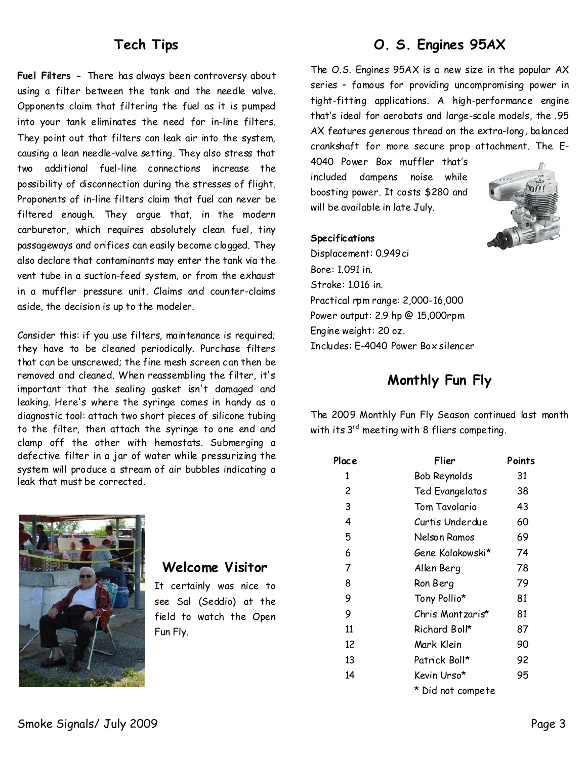## **Tech Tips**

**Fuel Filters-**There has always been controversy about using a filter between the tank and the needle valve. Opponents claim that filtering the fuel as it is pumped into your tank eliminates the need for in-line filters. They point out that filters can leak air into the system, causing a lean needle-valve setting. They also stress that two additional fuel-line connections increase the possibility of disconnection during the stresses of flight. Proponents of in-line filters claim that fuel can never be filtered enough. They argue that, in the modern carburetor, which requires absolutely clean fuel, tiny passageways and orifices can easily become clogged. They also declare that contaminants may enter the tank via the vent tube in a suction-feed system, or from the exhaust in a muffler pressure unit. Claims and counter-claims aside, the decision is up to the modeler.

Consider this: if you use filters, maintenance is required; they have to be cleaned periodically. Purchase filters that can be unscrewed; the fine mesh screen can then be removed and cleaned. When reassembling the filter, it's important that the sealing gasket isn't damaged and leaking. Here's where the syringe comes in handy as a diagnostic tool: attach two short pieces of silicone tubing to the filter, then attach the syringe to one end and clamp off the other with hemostats. Submerging a defective filter in a jar of water while pressurizing the system will produce a stream of air bubbles indicating a leak that must be corrected.



## **Welcome Visitor**

It certainly was nice to see Sal (Seddio) at the field to watch the Open Fun Fly.

# **O. S. Engines 95AX**

The O.S. Engines 95AX is a new size in the popular AX series - famous for providing uncompromising power in tight-fitting applications. A high-performance engine that's ideal for aerobats and large-scale models, the .95 AX features generous thread on the extra-long, balanced crankshaft for more secure prop attachment. The E-

4040 Power Box muffler that's included dampens noise while boosting power. It costs \$280 and will be available in late July.



#### **Specifications**

Displacement: 0.949ci Bore: 1.091 in. Stroke: 1.016 in. Practical rpm range: 2,000-16,000 Power output: 2.9 hp @ 15,000rpm Engine weight: 20 oz. Includes: E-4040 Power Box silencer

## **Monthly Fun Fly**

The 2009 Monthly Fun Fly Season continued last month with its  $3^{rd}$  meeting with 8 fliers competing.

| Place | Flier             | Points |
|-------|-------------------|--------|
| 1     | Bob Reynolds      | 31     |
| 2     | Ted Evangelatos   | 38     |
| 3     | Tom Tavolario     | 43     |
| 4     | Curtis Underdue   | 60     |
| 5     | Nelson Ramos      | 69     |
| 6     | Gene Kolakowski*  | 74     |
| 7     | Allen Berg        | 78     |
| 8     | Ron Berg          | 79     |
| 9     | Tony Pollio*      | 81     |
| 9     | Chris Mantzaris*  | 81     |
| 11    | Richard Boll*     | 87     |
| 12    | Mark Klein        | 90     |
| 13    | Patrick Boll*     | 92     |
| 14    | Kevin Urso*       | 95     |
|       | * Did not compete |        |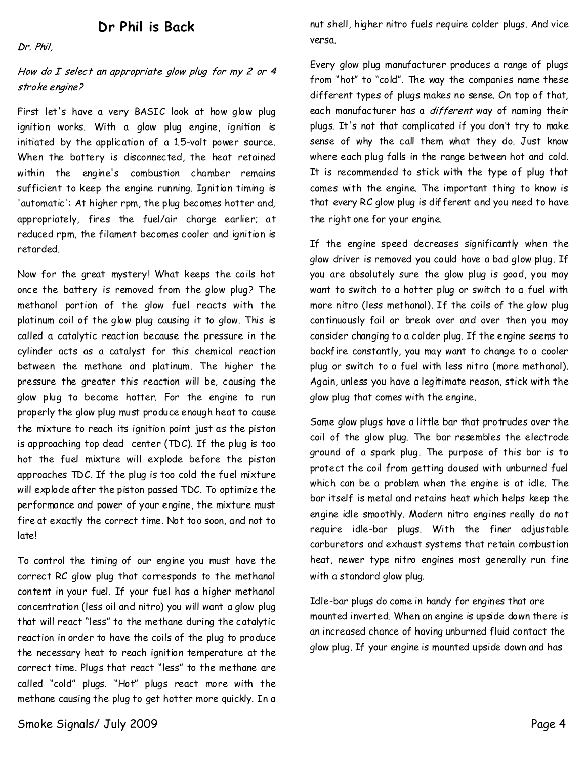## **Dr Phil is Back**

Dr. Phil,

### How do I select an appropriate glow plug for my  $2$  or  $4$ stroke engine?

First let's have a very BASIC look at how glow plug ignition works. With a glow plug engine, ignition is initiated by the application of a 1.5-volt power source. When the battery is disconnected, the heat retained within the engine's combustion chamber remains sufficient to keep the engine running. Ignition timing is 'automatic': At higher rpm, the plug becomes hotter and, appropriately, fires the fuel/air charge earlier; at reduced rpm, the filament becomes cooler and ignition is retarded.

Now for the great mystery! What keeps the coils hot once the battery is removed from the glow plug? The methanol portion of the glow fuel reacts with the platinum coil of the glow plug causing it to glow. This is called a catalytic reaction because the pressure in the cylinder acts as a catalyst for this chemical reaction between the methane and platinum. The higher the pressure the greater this reaction will be, causing the glow plug to become hotter. For the engine to run properly the glow plug must produce enough heat to cause the mixture to reach its ignition point just as the piston is approaching top dead center (TDC). If the plug is too hot the fuel mixture will explode before the piston approaches TDC. If the plug is too cold the fuel mixture will explode after the piston passed TDC. To optimize the performance and power of your engine, the mixture must fire at exactly the correct time. Not too soon, and not to late!

To control the timing of our engine you must have the correct RC glow plug that corresponds to the methanol content in your fuel. If your fuel has a higher methanol concentration (less oil and nitro) you will want a glow plug that will react"less"to the methane during the catalytic reaction in order to have the coils of the plug to produce the necessary heat to reach ignition temperature at the correct time. Plugs that react "less" to the methane are called "cold" plugs. "Hot" plugs react more with the methane causing the plug to get hotter more quickly. In a nut shell, higher nitro fuels require colder plugs. And vice versa.

Every glow plug manufacturer produces a range of plugs from "hot" to "cold". The way the companies name these different types of plugs makes no sense. On top of that, each manufacturer has a *different* way of naming their plugs. It's not that complicated if you don't try to make sense of why the call them what they do. Just know where each plug falls in the range between hot and cold. It is recommended to stick with the type of plug that comes with the engine. The important thing to know is that every RC glow plug is different and you need to have the right one for your engine.

If the engine speed decreases significantly when the glow driver is removed you could have a bad glow plug. If you are absolutely sure the glow plug is good, you may want to switch to a hotter plug or switch to a fuel with more nitro (less methanol). If the coils of the glow plug continuously fail or break over and over then you may consider changing to a colder plug. If the engine seems to backfire constantly, you may want tochange to a cooler plug or switch to a fuel with less nitro (more methanol). Again, unless you have a legitimate reason, stick with the glow plug that comes with the engine.

Some glow plugs have a little bar that protrudes over the coil of the glow plug.The bar resembles the electrode ground of a spark plug. The purpose of this bar is to protect the coil from getting doused with unburned fuel which can be a problem when the engine is at idle. The bar itself is metal and retains heat which helps keep the engine idle smoothly. Modern nitro engines really do not require idle-bar plugs. With the finer adjustable carburetors and exhaust systems that retain combustion heat, newer type nitro engines most generally run fine with a standard glow plug.

Idle-bar plugs do come in handy for engines that are mounted inverted. When an engine is upside down there is an increased chance of having unburned fluid contact the glow plug. If your engine is mounted upside down and has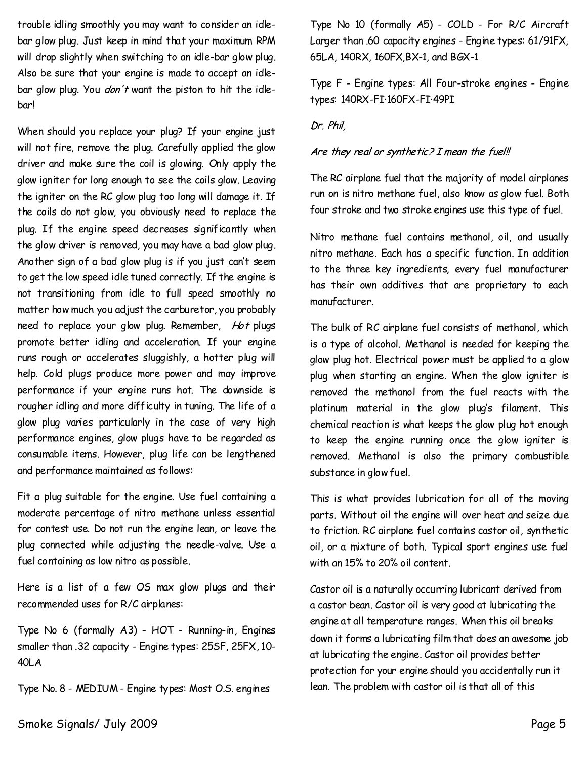trouble idling smoothly you may want to consider an idle bar glow plug. Just keep in mind that your maximum RPM will drop slightly when switching to an idle-bar glow plug. Also be sure that your engine is made to accept an idle bar glow plug. You *don't* want the piston to hit the idlebar!

When should you replace your plug? If your engine just will not fire, remove the plug. Carefully applied the glow driver and make sure the coil is glowing. Only apply the glow igniter for long enough to see the coils glow. Leaving the igniter on the RC glow plug too long will damage it. If the coils do not glow, you obviously need to replace the plug. If the engine speed decreases significantly when the glow driver is removed, you may have a bad glow plug. Another sign of a bad glow plug is if you just can't seem to get the low speed idle tuned correctly. If the engine is not transitioning from idle to full speed smoothly no matter how much you adjust the carburetor, you probably need to replace your glow plug. Remember, Hot plugs promote better idling and acceleration. If your engine runs rough or accelerates sluggishly, a hotter plug will help. Cold plugs produce more power and may improve performance if your engine runs hot. The downside is rougher idling and more difficulty in tuning. The life of a glow plug varies particularly in the case of very high performance engines, glow plugs have to be regarded as consumable items. However, plug life can be lengthened and performance maintained as follows:

Fit a plug suitable for the engine. Use fuel containing a moderate percentage of nitro methane unless essential for contest use. Do not run the engine lean, or leave the plug connected while adjusting the needle-valve. Use a fuel containing as low nitro as possible.

Here is a list of a few OS max glow plugs and their recommended uses for R/C airplanes:

Type No 6 (formally A3) - HOT - Running-in, Engines smaller than .32 capacity-Engine types: 25SF, 25FX, 10- 40LA

TypeNo.8-MEDIUM-Engine types: Most O.S. engines

Type No 10 (formally A5) - COLD - For R/C Aircraft Larger than .60 capacity engines-Engine types: 61/91FX, 65LA,140RX, 160FX,BX-1, and BGX-1

Type F-Engine types: All Four-stroke engines-Engine types: 140RX-FI·160FX-FI·49PI

#### Dr. Phil.

#### Are they real or synthetic? I mean the fuel!!

TheRC airplane fuel that the majority of model airplanes run on is nitro methane fuel, also know as glow fuel. Both four stroke and two stroke engines use this type of fuel.

Nitro methane fuel contains methanol, oil, and usually nitro methane. Each has a specific function. In addition to the three key ingredients, every fuel manufacturer has their own additives that are proprietary to each manufacturer.

The bulk of RC airplane fuel consists of methanol, which is a type of alcohol. Methanol is needed for keeping the glow plug hot. Electrical power must be applied to a glow plug when starting an engine. When the glow igniter is removed the methanol from the fuel reacts with the platinum material in the glow plug's filament. This chemical reaction is what keeps the glow plug hot enough to keep the engine running once the glow igniter is removed. Methanol is also the primary combustible substance in glow fuel.

This is what provides lubrication for all of the moving parts. Without oil the engine will over heat and seize due to friction. RC airplane fuel contains castor oil, synthetic oil, or a mixture of both. Typical sport engines use fuel with an15% to 20% oil content.

Castor oil is a naturally occurring lubricant derived from a castor bean. Castor oil is very good at lubricating the engine at all temperature ranges. When this oil breaks down it forms a lubricating film that does an awesome job at lubricating the engine. Castor oil provides better protection for your engine should you accidentally run it lean. The problem with castor oil is that all of this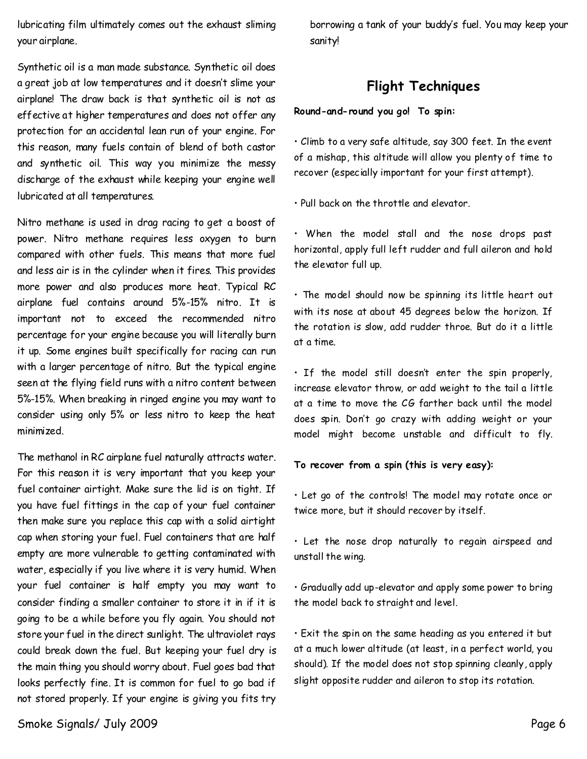lubricating film ultimately comes out the exhaust sliming your airplane.

Synthetic oil is a man made substance. Synthetic oil does a great job at low temperatures and it doesn't slime your airplane! The draw back is that synthetic oil is not as effective at higher temperatures and does not offer any protection for an accidental lean run of your engine. For this reason, many fuels contain of blend of both castor and synthetic oil. This way you minimize the messy discharge of the exhaust while keeping your engine well lubricated at all temperatures.

Nitro methane is used in drag racing to get a boost of power. Nitro methane requires less oxygen to burn compared with other fuels. This means that more fuel and less air is in the cylinder when it fires. This provides more power and also produces more heat. Typical RC airplane fuel contains around 5%-15% nitro. It is important not to exceed the recommended nitro percentage for your engine because you will literally burn it up. Some engines built specifically for racing can run with a larger percentage of nitro. But the typical engine seen at the flying field runs with a nitro content between 5%-15%. When breaking in ringed engine you may want to consider using only 5% or less nitro to keep the heat minimized.

The methanol in RC airplane fuel naturally attracts water. For this reason it is very important that you keep your fuel container airtight. Make sure the lid is on tight. If you have fuel fittings in the cap of your fuel container then make sure you replace this cap with a solid airtight cap when storing your fuel. Fuel containers that are half empty are more vulnerable to getting contaminated with water, especially if you live where it is very humid.When your fuel container is half empty you may want to consider finding a smaller container to store it in if it is going to be a while before you fly again. You should not store your fuel in the direct sunlight. The ultraviolet rays could break down the fuel. But keeping your fuel dry is the main thing you should worry about. Fuel goes bad that looks perfectly fine. It is common for fuel to go bad if not stored properly. If your engine is giving you fits try

borrowing a tank of your buddy's fuel. You may keep your sanity!

## **Flight Techniques**

**Round-and-round you go! To spin:**

• Climb to a very safe altitude, say 300 feet. In the event of a mishap, this altitude will allow you plenty of time to recover (especially important for your first attempt).

• Pull back on the throttle and elevator.

• When the model stall and the nose drops past horizontal, apply full left rudder and full aileron and hold the elevator full up.

 $\cdot$  The model should now be spinning its little heart out with its nose at about 45 degrees below the horizon. If the rotation is slow, add rudder throe. But do it a little at a time.

• If the model still doesn't enter the spin properly, increase elevator throw, or add weight to the tail a little at a time to move the CG farther back until the model does spin. Don't go crazy with adding weight or your model might become unstable and difficult to fly.

#### **To recover from a spin (this is very easy):**

• Let go of the controls! The model may rotate once or twice more, but it should recover by itself.

• Let the nose drop naturally to regain airspeed and unstall the wing.

• Gradually add up-elevator and apply some power to bring the model back to straight and level.

• Exit the spin on the same heading as you entered it but at a much lower altitude (at least, in a perfect world, you should). If the model does not stop spinning cleanly, apply slight opposite rudder and aileron to stop its rotation.

Smoke Signals/ July 2009 Page 6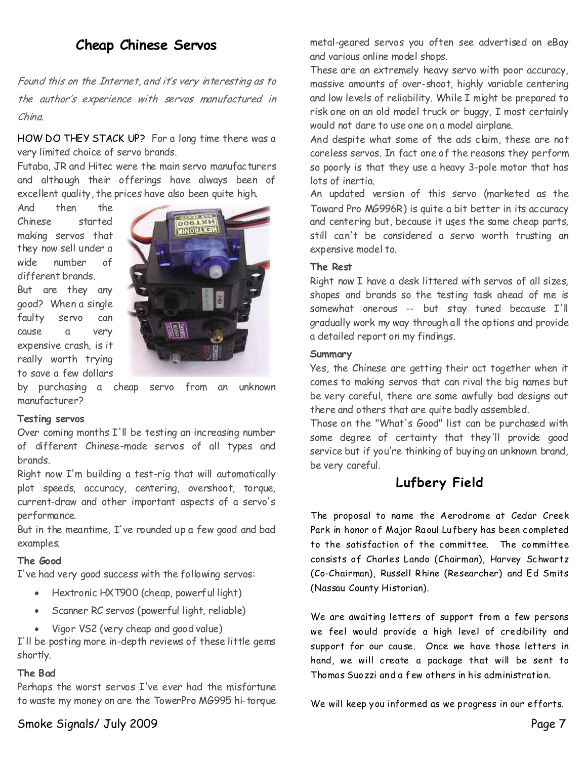# **Cheap Chinese Servos**

Found this on the Internet, and it's very interesting as to the author's experience with servos manufactured in  $China$ 

HOW DO THEY STACK UP? For a long time there was a very limited choice of servo brands.

Futaba, JR and Hitec were the main servo manufacturers and although their offerings have always been of excellent quality, the prices have also been quite high.

And then the Chinese started making servos that they now sell under a wide number of different brands.

But are they any good? When a single faulty servo can cause a very expensive crash, is it really worth trying to save a few dollars



by purchasing a cheap servo from an unknown manufacturer?

#### **Testing servos**

Over coming months I'll be testing an increasing number of different Chinese-made servos of all types and brands.

Right now I'm building a test-rig that will automatically plot speeds, accuracy, centering, overshoot, torque, current-draw and other important aspects of a servo's performance.

But in the meantime, I've rounded up a few good and bad examples.

#### **The Good**

I've had very good success with the following servos:

- · Hextronic HXT900 (cheap, powerful light)
- · Scanner RC servos (powerful light, reliable)
- · Vigor VS2 (very cheap and good value)

I'll be posting more in-depth reviews of these little gems shortly.

## **The Bad**

Perhaps the worst servos I've ever had the misfortune to waste my money on are the TowerPro MG995 hi-torque metal-geared servos you often see advertised on eBay and various online model shops.

These are an extremely heavy servo with poor accuracy, massive amounts of over-shoot, highly variable centering and low levels of reliability. While I might be prepared to risk one on an old model truck or buggy, I most certainly would not dare to use one on a model airplane.

And despite what some of the ads claim, these are not coreless servos. In fact one of the reasons they perform so poorly is that they use a heavy 3-pole motor that has lots of inertia.

An updated version of this servo (marketed as the Toward Pro MG996R) is quite a bit better in its accuracy and centering but, because it uses the same cheap parts, still can't be considered a servo worth trusting an expensive model to.

#### **The Rest**

Right now I have a desk littered with servos of all sizes, shapes and brands so the testing task ahead of me is somewhat onerous -- but stay tuned because I'll gradually work my way through all the options and provide a detailed report on my findings.

#### **Summary**

Yes, the Chinese are getting their act together when it comes to making servos that can rival the big names but be very careful, there are some awfully bad designs out there and others that are quite badly assembled.

Those on the "What's Good" list can be purchased with some degree of certainty that they'll provide good service but if you're thinking of buying an unknown brand, be very careful.

## **Lufbery Field**

The proposal to name the Aerodrome at Cedar Creek Park in honor of Major Raoul Lufbery has been completed to the satisfaction of the committee. The committee consists of Charles Lando (Chairman), Harvey Schwartz (Co-Chairman), Russell Rhine (Researcher) and Ed Smits (Nassau County Historian).

We are awaiting letters of support from a few persons we feel would provide a high level of credibility and support for our cause. Once we have those letters in hand, we will create a package that will be sent to Thomas Suozzi and a few others in his administration.

We will keep you informed as we progress in our efforts.

Smoke Signals/ July 2009 Page 7